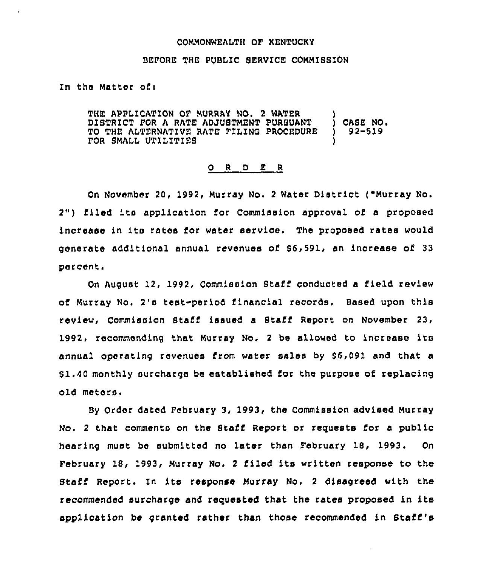#### COMMONWEALTH QF KENTUCKY

## BEFORE THE PUBLIC SERVICE COMMISSION

### In the Matter ofi

THE APPLICATION OF MURRAY NO. 2 WATER (1) DISTRICT FOR A RATE ADJUSTMENT PURSUANT ( ) CASE NO.<br>TO THE ALTERNATIVE RATE FILING PROCEDURE ( ) 92-519 TO THE ALTERNATIVE RATE FILING PROCEDURE FOR SMALL UTILITIES

#### 0 <sup>R</sup> <sup>D</sup> E <sup>R</sup>

On November 20, 1992, Murray No. <sup>2</sup> Water District ("Murray No. 2") filed its application for Commission approval of <sup>a</sup> proposed increase in its rates for water service. The proposed rates would generate additional annual revenues of 96,591, an increase of 33 percent.

On August 12, 1992, Commission Staff conducted a field review of Murray No. 2's test-period financial records, Based upon this review, Commission Staff issued a Staff Report on November 23, 1992, recommending that Murray No. <sup>2</sup> be allowed to increase its annual operating revenues from water sales by 56,091 and that a 51,40 monthly surcharge be established for the purpose of replacing old meters.

By Order dated February 3, 1993, the Commission advised Murray No. <sup>2</sup> that comments on the Staff Report or requests for a public hearing must be submitted no later than February 18, 1993. On February 18, 1993, Murray No. <sup>2</sup> filed its written response to the Staff Report. In its response Murray No. <sup>2</sup> disagreed with the recommended surcharge and requested that the rates proposed in its application be granted rather than those recommended in Staff's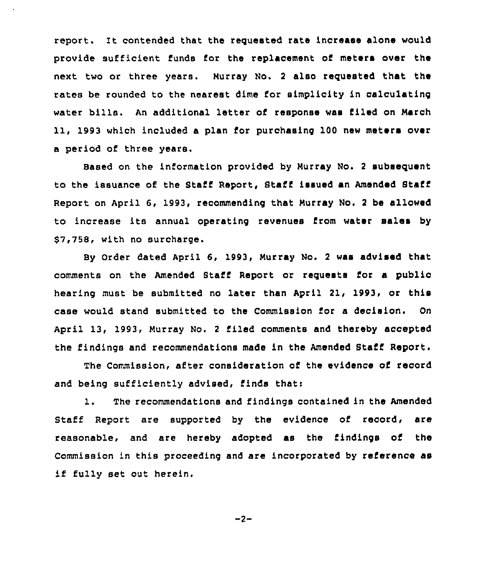report. lt contended that the requested rate increase alone would provide sufficient funds for the replacement of meters over the next two or three years. Murray No. <sup>2</sup> also requested that the rates be rounded to the nearest dime for simplicity in calculating water bills. An additional letter of response was filed on March 11, 1993 which included a plan for purchasing 100 new meters over a period of three years.

Based on the information provided by Murray No. 2 subsequent to the issuance of the Staff Report, Staff issued an Amended Staff Report on April 6, 1993, recommending that Murray No. <sup>2</sup> be allowed to increase its annual operating revenues from water sales by \$7,758, with no surcharge.

By Order dated April 6, 1993, Murray No. <sup>2</sup> was advised that comments on the Amended Staff Report or requests for a public hearing must be submitted no later than April 21, 1993, or this case would stand submitted to the Commission for a decision. On April 13, 1993, Murray No. <sup>2</sup> filed comments and thereby accepted the findings and recommendations made in the Amended Staff Report.

The commission, after consideration of the evidence of record and being sufficiently advised, finds thati

1. The recommendations and findings contained in the Amended Staff Report are supported by the evidence of record, are reasonable, and are hereby adopted as the findings of the Commission in this proceeding and are incorporated by reference as if fully set out herein.

$$
-2 -
$$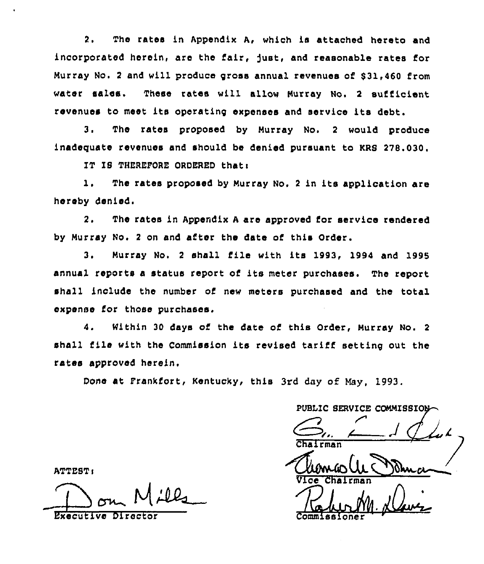2. The rates in Appendix A, which is attached hereto and incorporated heroin, aro the fair, fust, and reasonable rates for Murray No. 2 and will produce gross annual revenues of \$31,460 from water salas. These rates will allow Murray No. <sup>2</sup> sufficient rovenuas to maot its operating expanses and service its debt.

3. Tho rates proposed by Murray No. <sup>2</sup> would produce inadequate revenues and should be denied pursuant to KRS 278.030.

IT IS THEREFORE ORDERED thatt

1. The rates proposed by Murray No. 2 in its application are horeby denied'.

 $2.$ The rates ln Appendix <sup>A</sup> are approved for service rendered by Murray No. <sup>2</sup> on and after the date of this Order.

3. Murray No, <sup>2</sup> shall file with its 1993, 1994 and 1996 annual reports <sup>a</sup> status report of its meter purchases. The report shall include the number of new meters purchased and the total oxpsnso for those purchases.

4. within 30 days of the date of this Order, Murray No. <sup>2</sup> shall file with the Commission its revised tariff setting out the rates approved heroin,

Done at Frankfort, Kentucky, this 3rd day of May. 1993.

PUBLIC SERVICE COMMISSION Chairman<br>Chairman<br>Vice Chairman

 $\frac{1}{2}$ Commissioner

ATTEST<

Executive Dire